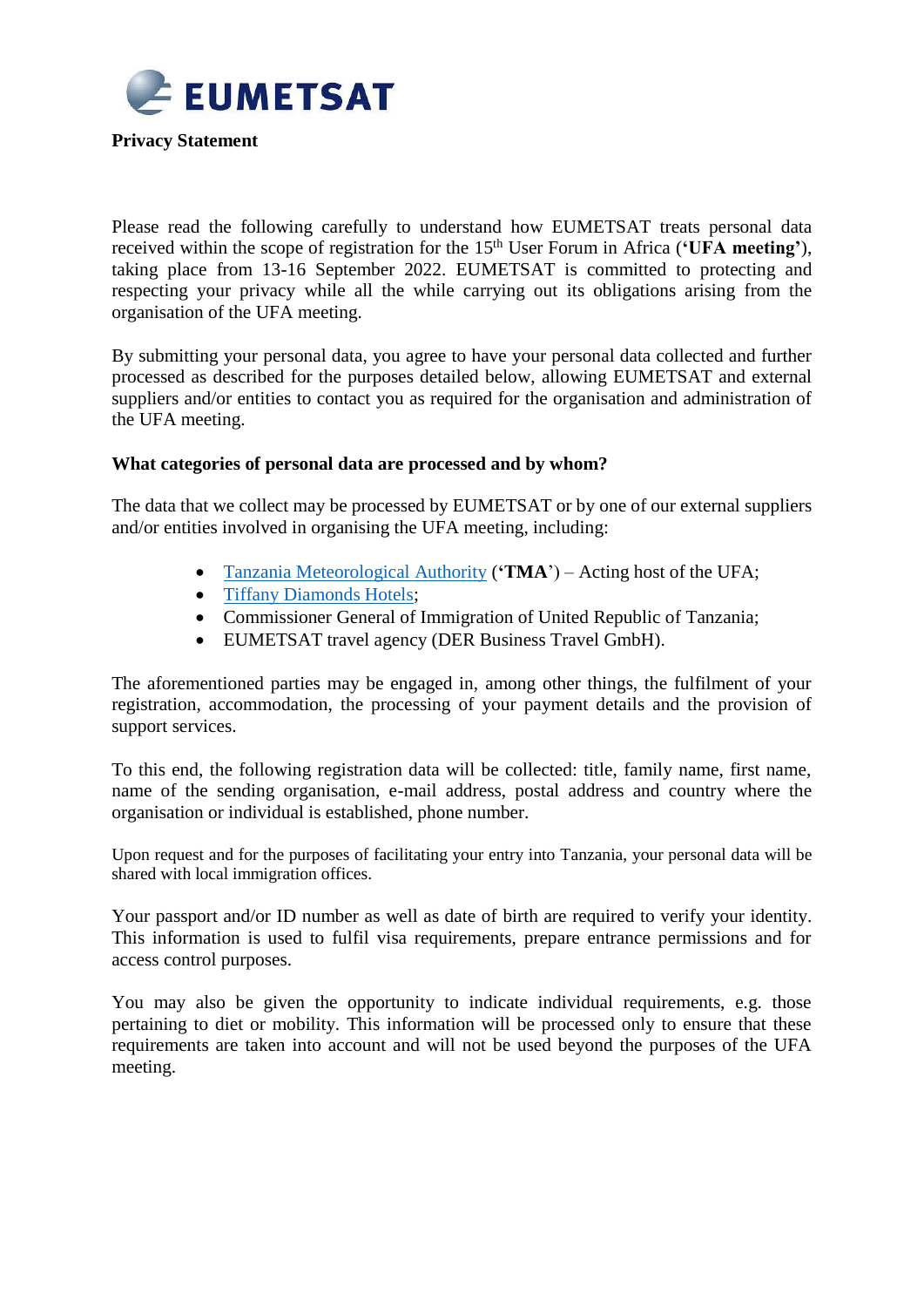

**Privacy Statement** 

Please read the following carefully to understand how EUMETSAT treats personal data received within the scope of registration for the 15th User Forum in Africa (**'UFA meeting'**), taking place from 13-16 September 2022. EUMETSAT is committed to protecting and respecting your privacy while all the while carrying out its obligations arising from the organisation of the UFA meeting.

By submitting your personal data, you agree to have your personal data collected and further processed as described for the purposes detailed below, allowing EUMETSAT and external suppliers and/or entities to contact you as required for the organisation and administration of the UFA meeting.

# **What categories of personal data are processed and by whom?**

The data that we collect may be processed by EUMETSAT or by one of our external suppliers and/or entities involved in organising the UFA meeting, including:

- [Tanzania Meteorological Authority](http://www.meteo.go.tz/) (**'TMA**') Acting host of the UFA;
- Tiffany Diamonds Hotels:
- Commissioner General of Immigration of United Republic of Tanzania;
- EUMETSAT travel agency (DER Business Travel GmbH).

The aforementioned parties may be engaged in, among other things, the fulfilment of your registration, accommodation, the processing of your payment details and the provision of support services.

To this end, the following registration data will be collected: title, family name, first name, name of the sending organisation, e-mail address, postal address and country where the organisation or individual is established, phone number.

Upon request and for the purposes of facilitating your entry into Tanzania, your personal data will be shared with local immigration offices.

Your passport and/or ID number as well as date of birth are required to verify your identity. This information is used to fulfil visa requirements, prepare entrance permissions and for access control purposes.

You may also be given the opportunity to indicate individual requirements, e.g. those pertaining to diet or mobility. This information will be processed only to ensure that these requirements are taken into account and will not be used beyond the purposes of the UFA meeting.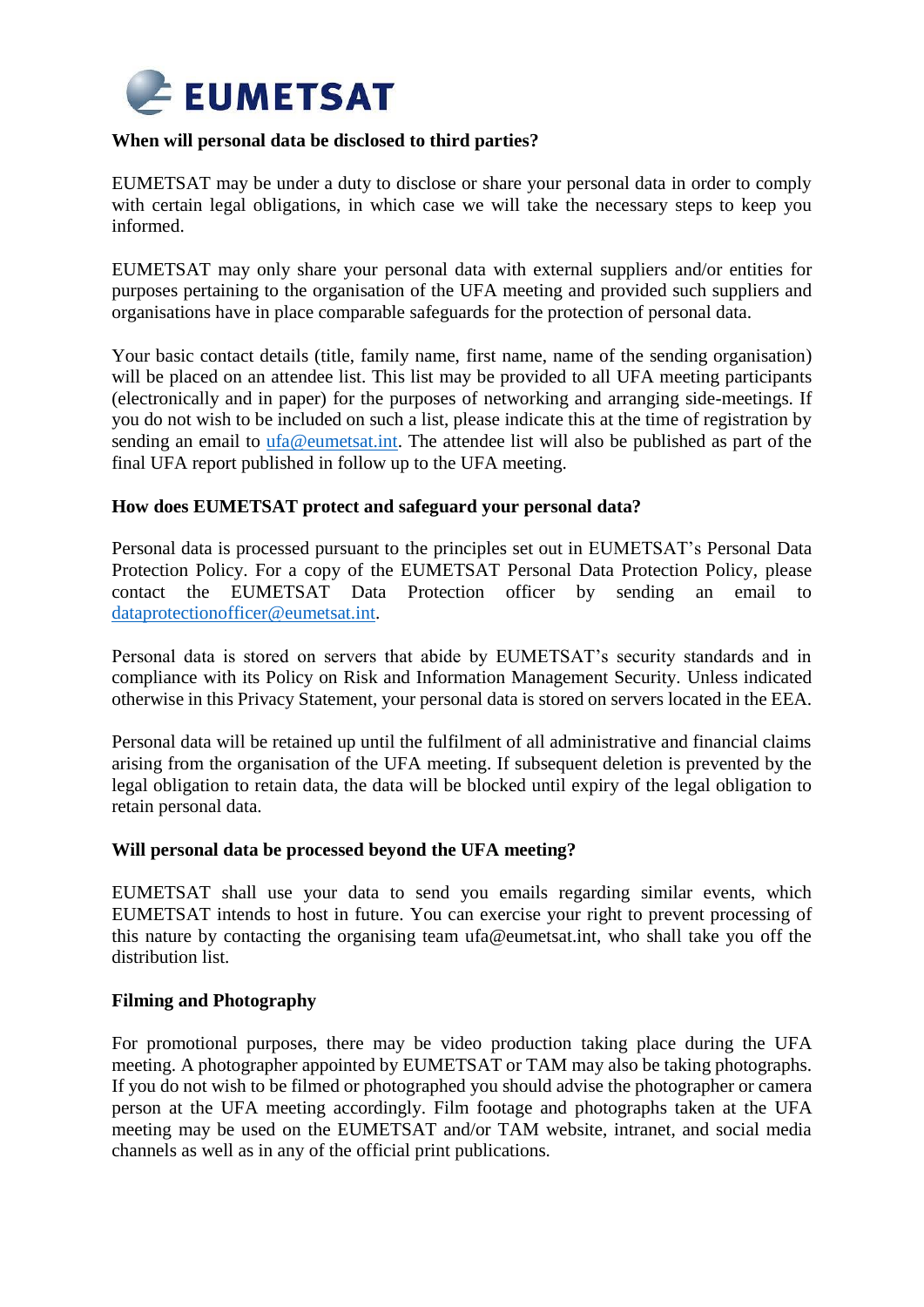

# **When will personal data be disclosed to third parties?**

EUMETSAT may be under a duty to disclose or share your personal data in order to comply with certain legal obligations, in which case we will take the necessary steps to keep you informed.

EUMETSAT may only share your personal data with external suppliers and/or entities for purposes pertaining to the organisation of the UFA meeting and provided such suppliers and organisations have in place comparable safeguards for the protection of personal data.

Your basic contact details (title, family name, first name, name of the sending organisation) will be placed on an attendee list. This list may be provided to all UFA meeting participants (electronically and in paper) for the purposes of networking and arranging side-meetings. If you do not wish to be included on such a list, please indicate this at the time of registration by sending an email to [ufa@eumetsat.int.](mailto:ufa@eumetsat.int) The attendee list will also be published as part of the final UFA report published in follow up to the UFA meeting.

# **How does EUMETSAT protect and safeguard your personal data?**

Personal data is processed pursuant to the principles set out in EUMETSAT's Personal Data Protection Policy. For a copy of the EUMETSAT Personal Data Protection Policy, please contact the EUMETSAT Data Protection officer by sending an email to [dataprotectionofficer@eumetsat.int.](mailto:dataprotectionofficer@eumetsat.int)

Personal data is stored on servers that abide by EUMETSAT's security standards and in compliance with its Policy on Risk and Information Management Security. Unless indicated otherwise in this Privacy Statement, your personal data is stored on servers located in the EEA.

Personal data will be retained up until the fulfilment of all administrative and financial claims arising from the organisation of the UFA meeting. If subsequent deletion is prevented by the legal obligation to retain data, the data will be blocked until expiry of the legal obligation to retain personal data.

#### **Will personal data be processed beyond the UFA meeting?**

EUMETSAT shall use your data to send you emails regarding similar events, which EUMETSAT intends to host in future. You can exercise your right to prevent processing of this nature by contacting the organising team ufa@eumetsat.int, who shall take you off the distribution list.

# **Filming and Photography**

For promotional purposes, there may be video production taking place during the UFA meeting. A photographer appointed by EUMETSAT or TAM may also be taking photographs. If you do not wish to be filmed or photographed you should advise the photographer or camera person at the UFA meeting accordingly. Film footage and photographs taken at the UFA meeting may be used on the EUMETSAT and/or TAM website, intranet, and social media channels as well as in any of the official print publications.